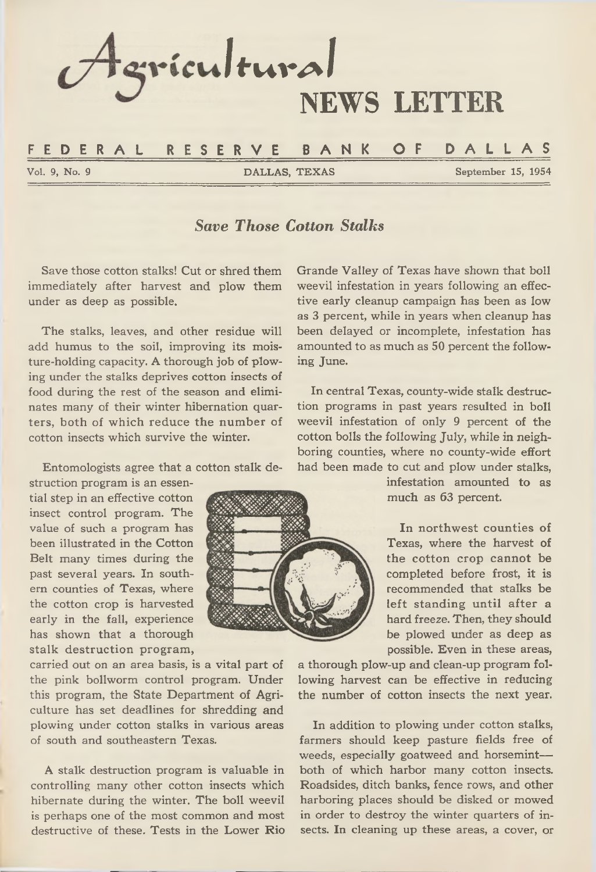

# *Save Those Cotton Stalks*

**Save those cotton stalks! Cut or shred them immediately after harvest and plow them under as deep as possible.**

**The stalks, leaves, and other residue will add humus to the soil, improving its moisture-holding capacity. A thorough job of plowing under the stalks deprives cotton insects of food during the rest of the season and eliminates many of their winter hibernation quarters, both of which reduce the number of cotton insects which survive the winter.**

**Entomologists agree that a cotton stalk de-**

**struction program is an essential step in an effective cotton insect control program. The value of such a program has been illustrated in the Cotton Belt many times during the past several years. In southern counties of Texas, where the cotton crop is harvested early in the fall, experience has shown that a thorough stalk destruction program,**

**carried out on an area basis, is a vital part of the pink bollworm control program. Under this program, the State Department of Agriculture has set deadlines for shredding and plowing under cotton stalks in various areas of south and southeastern Texas.**

**A stalk destruction program is valuable in controlling many other cotton insects which hibernate during the winter. The boll weevil is perhaps one of the most common and most destructive of these. Tests in the Lower Rio** **Grande Valley of Texas have shown that boll weevil infestation in years following an effective early cleanup campaign has been as low as 3 percent, while in years when cleanup has been delayed or incomplete, infestation has amounted to as much as 50 percent the following June.**

**In central Texas, county-wide stalk destruction programs in past years resulted in boll weevil infestation of only 9 percent of the cotton bolls the following July, while in neighboring counties, where no county-wide effort had been made to cut and plow under stalks,**

> **infestation amounted to as much as 63 percent.**

> **In northwest counties of Texas, where the harvest of the cotton crop cannot be completed before frost, it is recommended that stalks be left standing until after a hard freeze. Then, they should be plowed under as deep as possible. Even in these areas,**

**a thorough plow-up and clean-up program following harvest can be effective in reducing the number of cotton insects the next year.**

**In addition to plowing under cotton stalks, farmers should keep pasture fields free of weeds, especially goatweed and horsemint both of which harbor many cotton insects. Roadsides, ditch banks, fence rows, and other harboring places should be disked or mowed in order to destroy the winter quarters of insects. In cleaning up these areas, a cover, or**

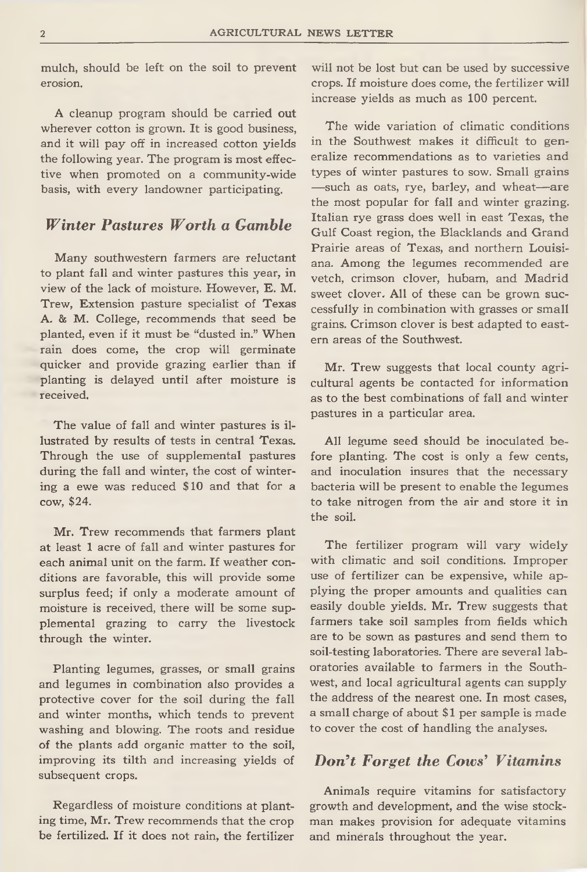**mulch, should be left on the soil to prevent erosion.**

**A cleanup program should be carried out wherever cotton is grown. It is good business, and it will pay off in increased cotton yields the following year. The program is most effective when promoted on a community-wide basis, with every landowner participating.**

# *W inter Pastures W orth a Gamble*

**Many southwestern farmers are reluctant to plant fall and winter pastures this year, in view of the lack of moisture. However, E. M. Trew, Extension pasture specialist of Texas A. 8b M. College, recommends that seed be planted, even if it must be "dusted in." When rain does come, the crop will germinate quicker and provide grazing earlier than if planting is delayed until after moisture is received.**

**The value of fall and winter pastures is illustrated by results of tests in central Texas. Through the use of supplemental pastures during the fall and winter, the cost of wintering a ewe was reduced \$10 and that for a cow, \$24.**

**Mr. Trew recommends that farmers plant at least 1 acre of fall and winter pastures for each animal unit on the farm. If weather conditions are favorable, this will provide some surplus feed; if only a moderate amount of moisture is received, there will be some supplemental grazing to carry the livestock through the winter.**

**Planting legumes, grasses, or small grains and legumes in combination also provides a protective cover for the soil during the fall and winter months, which tends to prevent washing and blowing. The roots and residue of the plants add organic matter to the soil, improving its tilth and increasing yields of subsequent crops.**

**Regardless of moisture conditions at planting time, Mr. Trew recommends that the crop be fertilized. If it does not rain, the fertilizer** **will not be lost but can be used by successive crops. If moisture does come, the fertilizer will increase yields as much as 100 percent.**

**The wide variation of climatic conditions in the Southwest makes it difficult to generalize recommendations as to varieties and types of winter pastures to sow. Small grains —such as oats, rye, barley, and wheat— are the most popular for fall and winter grazing. Italian rye grass does well in east Texas, the Gulf Coast region, the Blacklands and Grand Prairie areas of Texas, and northern Louisiana. Among the legumes recommended are vetch, crimson clover, hubam, and Madrid sweet clover. All of these can be grown successfully in combination with grasses or small grains. Crimson clover is best adapted to eastern areas of the Southwest.**

**Mr. Trew suggests that local county agricultural agents be contacted for information as to the best combinations of fall and winter pastures in a particular area.**

**All legume seed should be inoculated before planting. The cost is only a few cents, and inoculation insures that the necessary bacteria will be present to enable the legumes to take nitrogen from the air and store it in the soil.**

**The fertilizer program will vary widely with climatic and soil conditions. Improper use of fertilizer can be expensive, while applying the proper amounts and qualities can easily double yields. Mr. Trew suggests that farmers take soil samples from fields which are to be sown as pastures and send them to soil-testing laboratories. There are several laboratories available to farmers in the Southwest, and local agricultural agents can supply the address of the nearest one. In most cases, a small charge of about \$ 1 per sample is made to cover the cost of handling the analyses.**

# *Don't Forget the Cows' Vitamins*

**Animals require vitamins for satisfactory growth and development, and the wise stockman makes provision for adequate vitamins and minerals throughout the year.**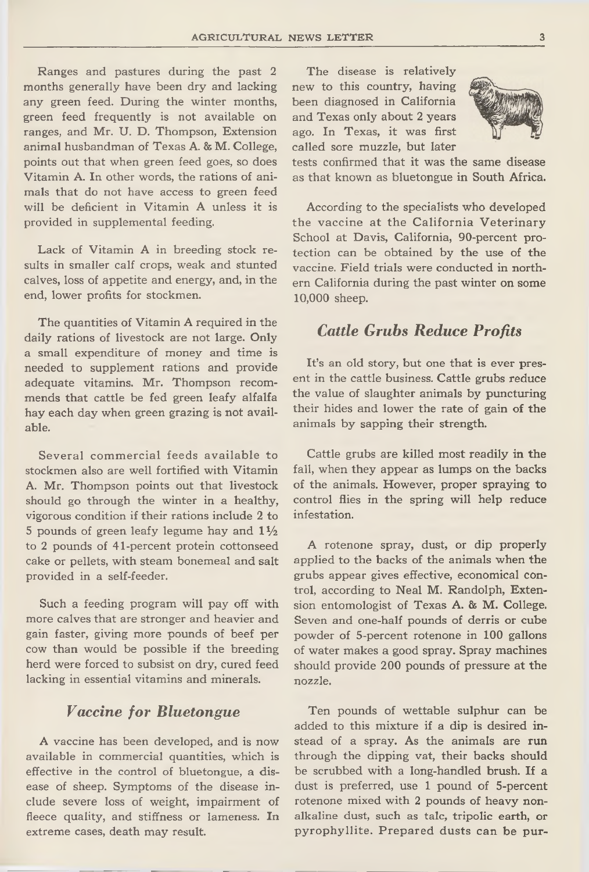**Ranges and pastures during the past 2 months generally have been dry and lacking any green feed. During the winter months, green feed frequently is not available on ranges, and Mr. U. D. Thompson, Extension animal husbandman of Texas A. & M. College, points out that when green feed goes, so does Vitamin A. In other words, the rations of animals that do not have access to green feed will be deficient in Vitamin A unless it is provided in supplemental feeding.**

**Lack of Vitamin A in breeding stock results in smaller calf crops, weak and stunted calves, loss of appetite and energy, and, in the end, lower profits for stockmen.**

**The quantities of Vitamin A required in the daily rations of livestock are not large. Only a small expenditure of money and time is needed to supplement rations and provide adequate vitamins. Mr. Thompson recommends that cattle be fed green leafy alfalfa hay each day when green grazing is not available.**

**Several commercial feeds available to stockmen also are well fortified with Vitamin A. Mr. Thompson points out that livestock should go through the winter in a healthy, vigorous condition if their rations include 2 to 5 pounds of green leafy legume hay and** *IV<sup>2</sup>* **to 2 pounds of 41-percent protein cottonseed cake or pellets, with steam bonemeal and salt provided in a self-feeder.**

**Such a feeding program will pay off with more calves that are stronger and heavier and gain faster, giving more pounds of beef per cow than would be possible if the breeding herd were forced to subsist on dry, cured feed lacking in essential vitamins and minerals.**

#### *Vaccine for Bluetongue*

**A vaccine has been developed, and is now available in commercial quantities, which is effective in the control of bluetongue, a disease of sheep. Symptoms of the disease include severe loss of weight, impairment of fleece quality, and stiffness or lameness. In extreme cases, death may result.**

**The disease is relatively new to this country, having been diagnosed in California and Texas only about 2 years ago. In Texas, it was first called sore muzzle, but later**



**tests confirmed that it was the same disease as that known as bluetongue in South Africa.**

**According to the specialists who developed the vaccine at the California Veterinary School at Davis, California, 90-percent protection can be obtained by the use of the vaccine. Field trials were conducted in northern California during the past winter on some 10,000 sheep.**

# *Cattle Grubs Reduce Profits*

**It's an old story, but one that is ever present in the cattle business. Cattle grubs reduce the value of slaughter animals by puncturing their hides and lower the rate of gain of the animals by sapping their strength.**

**Cattle grubs are killed most readily in the fall, when they appear as lumps on the backs of the animals. However, proper spraying to control flies in the spring will help reduce infestation.**

**A rotenone spray, dust, or dip properly applied to the backs of the animals when the grubs appear gives effective, economical control, according to Neal M. Randolph, Extension entomologist of Texas A. & M. College. Seven and one-half pounds of derris or cube powder of 5-percent rotenone in 100 gallons of water makes a good spray. Spray machines should provide 200 pounds of pressure at the nozzle.**

**Ten pounds of wettable sulphur can be added to this mixture if a dip is desired instead of a spray. As the animals are run through the dipping vat, their backs should be scrubbed with a long-handled brush. If a dust is preferred, use 1 pound of 5-percent rotenone mixed with 2 pounds of heavy nonalkaline dust, such as talc, tripolic earth, or pyrophyllite. Prepared dusts can be pur-**